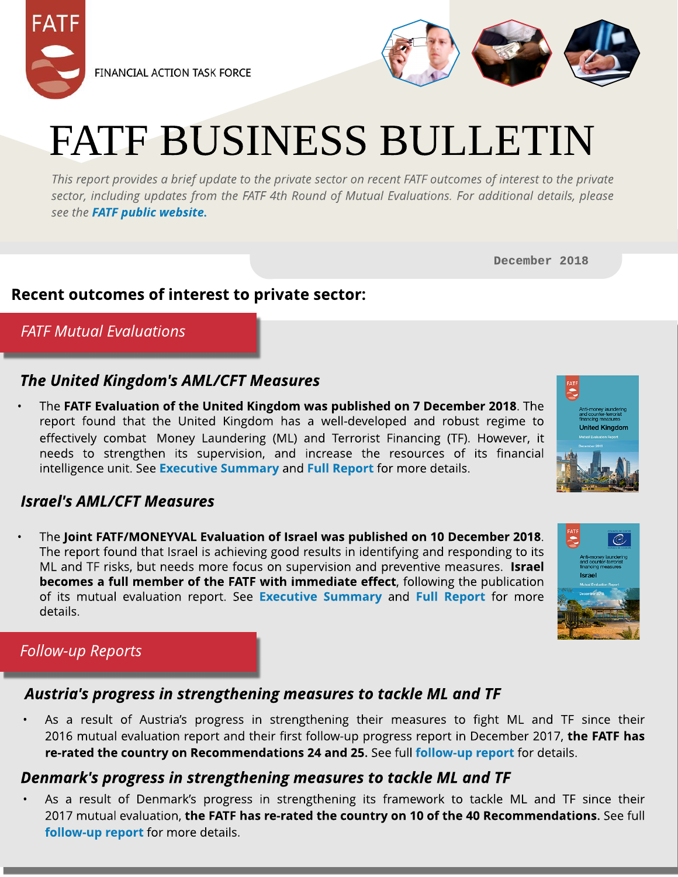



# FATF BUSINESS BULLETIN

**Thisreport providesa brief update to the private sector on recent FATFoutcomesof interest to the private sector, including updates from the FATF 4th Round of Mutual Evaluations. For additional details, please see the [FATF](http://www.fatf-gafi.org/home/) [public](http://www.fatf-gafi.org/home/) [website.](http://www.fatf-gafi.org/home/)**

December 2018

#### Recent outcomes of interest to private sector:

**FATFMutual Evaluations**

#### **The United Kingdom's AML/CFT Measures**

The FATF Evaluation of the United Kingdom was published on 7 December 2018. The report found that the United Kingdom has a well-developed and robust regime to effectively combat Money Laundering (ML) and Terrorist Financing (TF). However, it needs to strengthen its supervision, [an](http://www.fatf-gafi.org/media/fatf/documents/reports/mer4/MER-United-Kingdom-2018-Executive-Summary.pdf)d increase the resources of its financial intelligence unit. See [Execut](http://www.fatf-gafi.org/media/fatf/documents/reports/mer4/MER-United-Kingdom-2018-Executive-Summary.pdf)ive [Sum](http://www.fatf-gafi.org/media/fatf/documents/reports/mer4/MER-United-Kingdom-2018-Executive-Summary.pdf)mary and [Full](http://www.fatf-gafi.org/media/fatf/documents/reports/mer4/MER-United-Kingdom-2018.pdf) [Report](http://www.fatf-gafi.org/media/fatf/documents/reports/mer4/MER-United-Kingdom-2018.pdf) [f](http://www.fatf-gafi.org/media/fatf/documents/reports/mer4/MER-United-Kingdom-2018.pdf)or more details.

#### **Israel's AML/CFT Measures**

High-risk and other monitored

The Joint FATF/MONEYVAL Evaluation of Israel was published on 10 December 2018. The report found that Israel is achieving good results in identifying and responding to its ML and TF risks, but needs more focus on supervision and preventive measures. Israel becomes a full member of the FATF with immediate effect, following the publication of its mutual evaluation report. See [Execut](http://www.fatf-gafi.org/media/fatf/documents/reports/mer4/MER-Israel-2018-Executive-Summary.pdf)ive [Sum](http://www.fatf-gafi.org/media/fatf/documents/reports/mer4/MER-Israel-2018-Executive-Summary.pdf)mary and [Full](http://www.fatf-gafi.org/media/fatf/documents/reports/mer4/MER-Israel-2018.pdf) [Report](http://www.fatf-gafi.org/media/fatf/documents/reports/mer4/MER-Israel-2018.pdf) for more details.

### **Follow-up** Reports

#### **Austria's progress in strengthening measures to tackle ML and TF**

As a result of Austria's progress in strengthening their measures to fight ML and TF since their 2016 mutual evaluation report and their first follow-up progress report in December 2017, the FATF has re-rated the country on Recommendations 24 and 25. See full [follow-up](http://www.fatf-gafi.org/media/fatf/documents/reports/fur/FUR-Austria-2018.pdf) [report](http://www.fatf-gafi.org/media/fatf/documents/reports/fur/FUR-Austria-2018.pdf) for details.

#### **Denmark's progress in strengthening measures to tackle ML and TF**

As a result of Denmark's progress in strengthening its framework to tackle ML and TF since their 2017 mutual evaluation, the FATF has re-rated the country on 10 of the 40 Recommendations. See full [follow-up](http://www.fatf-gafi.org/media/fatf/documents/reports/fur/FUR-Denmark-2018.pdf) [report](http://www.fatf-gafi.org/media/fatf/documents/reports/fur/FUR-Denmark-2018.pdf) for more details.